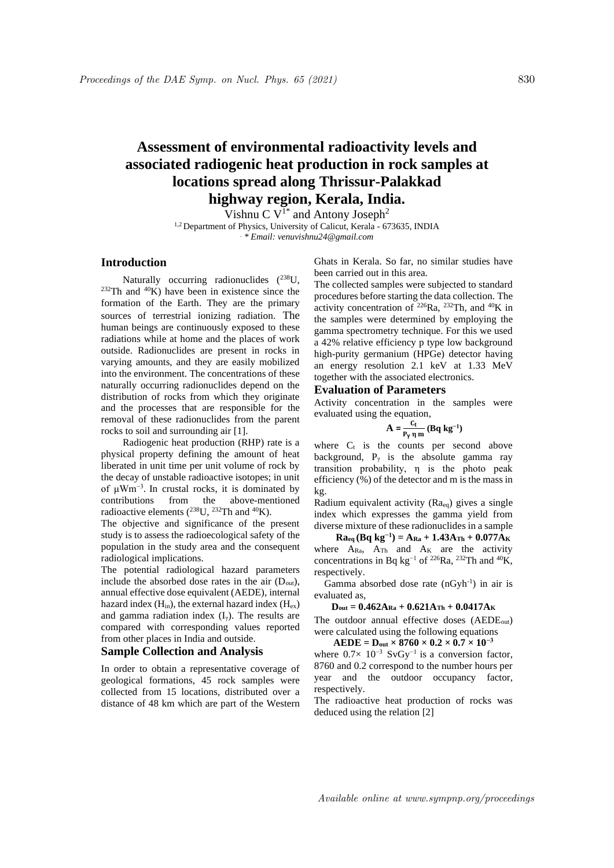# **Assessment of environmental radioactivity levels and associated radiogenic heat production in rock samples at locations spread along Thrissur-Palakkad highway region, Kerala, India.**

Vishnu C  $V^{1*}$  and Antony Joseph<sup>2</sup>

<sup>1,2</sup> Department of Physics, University of Calicut, Kerala - 673635, INDIA *. \* Email: venuvishnu24@gmail.com*

## **Introduction**

Naturally occurring radionuclides (238U,  $232$ Th and  $40\text{K}$ ) have been in existence since the formation of the Earth. They are the primary sources of terrestrial ionizing radiation. The human beings are continuously exposed to these radiations while at home and the places of work outside. Radionuclides are present in rocks in varying amounts, and they are easily mobilized into the environment. The concentrations of these naturally occurring radionuclides depend on the distribution of rocks from which they originate and the processes that are responsible for the removal of these radionuclides from the parent rocks to soil and surrounding air [1].

Radiogenic heat production (RHP) rate is a physical property defining the amount of heat liberated in unit time per unit volume of rock by the decay of unstable radioactive isotopes; in unit of μWm−3 . In crustal rocks, it is dominated by contributions from the above-mentioned radioactive elements  $(^{238}$ U,  $^{232}$ Th and  $^{40}$ K).

The objective and significance of the present study is to assess the radioecological safety of the population in the study area and the consequent radiological implications.

The potential radiological hazard parameters include the absorbed dose rates in the air  $(D_{out})$ , annual effective dose equivalent (AEDE), internal hazard index  $(H_{in})$ , the external hazard index  $(H_{ex})$ and gamma radiation index  $(I_{\gamma})$ . The results are compared with corresponding values reported from other places in India and outside.

#### **Sample Collection and Analysis**

In order to obtain a representative coverage of geological formations, 45 rock samples were collected from 15 locations, distributed over a distance of 48 km which are part of the Western Ghats in Kerala. So far, no similar studies have been carried out in this area.

The collected samples were subjected to standard procedures before starting the data collection. The activity concentration of  $226Ra$ ,  $232Th$ , and  $40K$  in the samples were determined by employing the gamma spectrometry technique. For this we used a 42% relative efficiency p type low background high-purity germanium (HPGe) detector having an energy resolution 2.1 keV at 1.33 MeV together with the associated electronics.

### **Evaluation of Parameters**

Activity concentration in the samples were evaluated using the equation,

$$
\mathbf{A} = \frac{\mathbf{C}_t}{\mathbf{P}_\gamma \, \eta \, \mathbf{m}} \left( \mathbf{B} \mathbf{q} \, \mathbf{k} \mathbf{g}^{-1} \right)
$$

where  $C_t$  is the counts per second above background,  $P_{\gamma}$  is the absolute gamma ray transition probability, η is the photo peak efficiency (%) of the detector and m is the mass in kg.

Radium equivalent activity  $(Ra_{eq})$  gives a single index which expresses the gamma yield from diverse mixture of these radionuclides in a sample

 $\mathbf{Ra}_{eq}(\mathbf{Bq} \mathbf{kg}^{-1}) = \mathbf{A_{Ra}} + 1.43\mathbf{A_{Th}} + 0.077\mathbf{A_{K}}$ where  $A_{\text{Ra}}$ ,  $A_{\text{Th}}$  and  $A_{\text{K}}$  are the activity concentrations in Bq kg<sup>-1</sup> of <sup>226</sup>Ra, <sup>232</sup>Th and <sup>40</sup>K, respectively.

Gamma absorbed dose rate  $(nGyh^{-1})$  in air is evaluated as,

 $D_{\text{out}} = 0.462A_{\text{Ra}} + 0.621A_{\text{Th}} + 0.0417A_{\text{K}}$ 

The outdoor annual effective doses (AEDE<sub>out</sub>) were calculated using the following equations

 $AEDE = D_{out} \times 8760 \times 0.2 \times 0.7 \times 10^{-3}$ 

where  $0.7\times 10^{-3}$  SvGy<sup>-1</sup> is a conversion factor, 8760 and 0.2 correspond to the number hours per year and the outdoor occupancy factor, respectively.

The radioactive heat production of rocks was deduced using the relation [2]